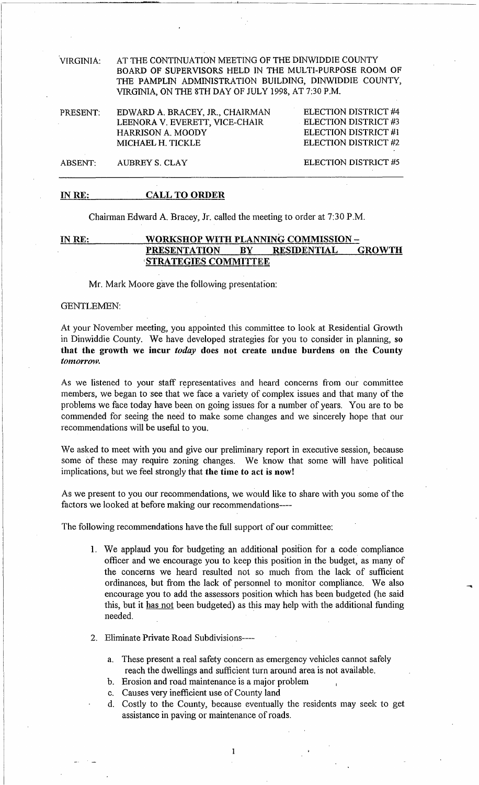VlRGINIA: AT THE CONTINUATION MEETING OF THE DINWIDDIE COUNTY BOARD OF SUPERVISORS HELD IN THE MULTI-PURPOSE ROOM OF THE PAMPLIN ADMINISTRATION BUILDING, DINWIDDIE COUNTY, VIRGINIA, ON THE 8TH DAY OF JULY 1998, AT 7:30 P.M.

| PRESENT: | EDWARD A. BRACEY, JR., CHAIRMAN | ELECTION DISTRICT #4 |
|----------|---------------------------------|----------------------|
|          | LEENORA V. EVERETT, VICE-CHAIR  | ELECTION DISTRICT #3 |
|          | HARRISON A. MOODY               | ELECTION DISTRICT #1 |
|          | MICHAEL H. TICKLE               | ELECTION DISTRICT #2 |
|          |                                 |                      |
|          |                                 |                      |

ABSENT: AUBREY S. CLAY ELECTION DISTRICT #5

.....

### INRE: CALL TO ORDER

Chairman Edward A. Bracey, Jr. called the meeting to order at 7:30 P.M.

# IN RE: WORKSHOP WITH PLANNING COMMISSION -PRESENTATION BY RESIDENTIAL GROWTH 'STRATEGIES COMMITTEE

Mr. Mark Moore gave the following presentation:

#### GENTLEMEN:

At your November meeting, you appointed this committee to look at Residential Growth in Dinwiddie County. We have developed strategies for you to consider in planning, so that the growth we incur *today* does not create undue burdens on the County *tomorrow.* 

As we listened to your staff representatives and heard concerns from our committee members, we began to see that we face a variety of complex issues and that many of the problems we face today have been on going issues tor a number of years. You are to be commended for seeing the need to make some changes and we sincerely hope that our recommendations will be useful to you.

We asked to meet with you and give our preliminary report in executive session, because some of these may require zoning changes. We know that some will have political implications, but we feel strongly that the time to act is now!

As we present to you our recommendations, we would like to share with you some of the factors we looked at before making our recommendations----

The following recommendations have the full support of our committee:

- 1. We applaud you for budgeting an additional position for a code compliance officer and we encourage you to keep this position in the budget, as many of the concerns we heard resulted not so much from the lack of sufficient ordinances, but from the lack of personnel to monitor compliance. We also encourage you to add the assessors position which has been budgeted (he said this, but it has not been budgeted) as this may help with the additional funding needed.
- 2. Eliminate Private Road Subdivisions---
	- a. These present a real safety concern as emergency vehicles cannot safely reach the dwellings and sufficient turn around area is not available.
	- b. Erosion and road maintenance is a major problem
	- c. Causes very inefficient use of County land
	- d. Costly to the County, because eventually the residents may seek to get assistance in paving or maintenance of roads.

1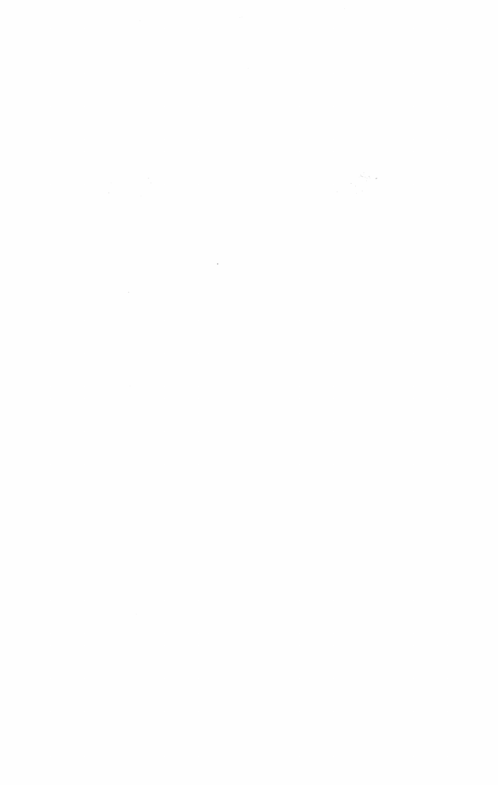$\mathcal{L}^{\text{max}}_{\text{max}}$  and  $\mathcal{L}^{\text{max}}_{\text{max}}$  $\label{eq:2.1} \frac{1}{\sqrt{2}}\int_{\mathbb{R}^3}\frac{1}{\sqrt{2}}\left(\frac{1}{\sqrt{2}}\right)^2\frac{1}{\sqrt{2}}\left(\frac{1}{\sqrt{2}}\right)^2\frac{1}{\sqrt{2}}\left(\frac{1}{\sqrt{2}}\right)^2.$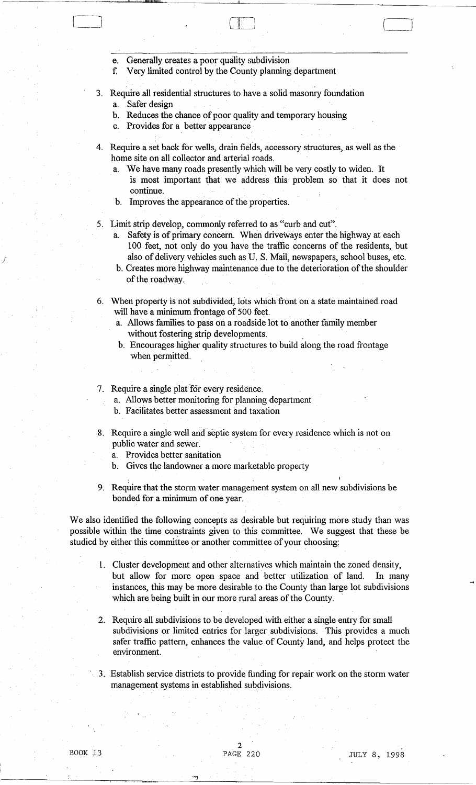- e. Generally creates a poor quality subdivision
- f. Very limited control by the County planning department
- 3. Require all residential structures to have a solid masonry foundation a. Safer design
	- b. Reduces the chance of poor quality and temporary housing
	- c. Provides for a better appearance

j' "."HUUIII

- 4. Require a set back for wells, drain fields, accessory structures, as well as the home site on all collector and arterial roads.
	- a. We have many roads presently which will be very costly to widen. It is most important that we address this problem so that it does not continue.

 $\Box$ 

 $\rfloor$ 

b. Improves the appearance of the properties.

5. Limit strip develop, commonly referred to as "curb and cut".

- a. Safety is of primary concern. When driveways enter the highway at each 100 feet, not only do you have the traffic concerns of the residents, but also of delivery vehicles such as U. S. Mail, newspapers, school buses, etc.
- b. Creates more highway maintenance due to the deterioration of the shoulder of the roadway,
- 6. When property is not subdivided, 16ts which front on a state maintained road will have a minimum frontage of 500 feet.
	- a. Allows families to pass on a roadside lot to another family member without fostering strip developments. .
	- b. Encourages higher quality structures to build along the road frontage when permitted.
- 7. Require a single plat tor every residence.
	- a. Allows better monitoring for planning department
	- b. Facilitates better assessment and taxation
- 8. Require a single well and septic system for every residence which is not on public water and sewer.
	- a. Provides better sanitation
	- b. Gives the landowner a more marketable property
- 9. Require that the storm water management system on all new subdivisions be bonded for a minimum of one year.

We also identified the following concepts as desirable but requiring more study than was possible within the time constraints given to this committee. We suggest that these be studied by either this committee or another committee of your choosing:

- I. Cluster development and other alternatives which maintain the zoned density, but allow for more open space and better utilization of land. In many instances, this may be more desirable to the County than large lot subdivisions which are being built in our more rural areas of the County.
- 2. Require all subdivisions to be developed with either a single entry for small subdivisions or limited entries for larger subdivisions. This provides a much safer traffic pattern, enhances the value of County land, and helps protect the environment.
- $\sim$  3. Establish service districts to provide funding for repair work on the storm water management systems in established subdivisions.

I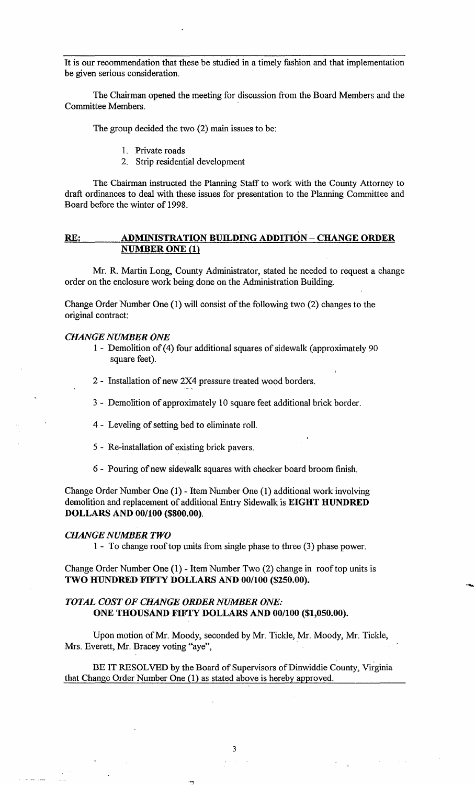It is our recommendation that these be studied in a timely fashion and that implementation be given serious consideration.

The Chairman opened the meeting for discussion from the Board Members and the Committee Members.

The group decided the two (2) main issues to be:

- 1. Private roads
- 2. Strip residential development

The Chairman instructed the Planning Staff to work with the County Attorney to draft ordinances to deal with these issues for presentation to the Planning Committee and Board before the winter of 1998.

## RE: ADMINISTRATION BUILDING ADDITION - CHANGE ORDER NUMBER ONE (1)

Mr. R. Martin Long, County Administrator, stated he needed to request a change order on the enclosure work being done on the Administration Building.

Change Order Number One (1) will consist of the following two (2) changes to the original contract:

#### *CHANGE NUMBER ONE*

- 1 Demolition of (4) four additional squares of sidewalk (approximately 90 square feet).
- 2 Installation of new 2X4 pressure treated wood borders.
- 3 Demolition of approximately 10 square feet additional brick border.
- 4 Leveling of setting bed to eliminate roll.
- 5 Re-installation of existing brick pavers.
- 6 Pouring of new sidewalk squares with checker board broom finish.

Change Order Number One (1) - Item Number One (1) additional work involving demolition and replacement of additional Entry Sidewalk is EIGHT HUNDRED DOLLARS AND 00/100 (\$800.00).

#### *CHANGE NUMBER TWO*

1 - To change rooftop units from single phase to three (3) phase power.

.......

Change Order Number One (1) - Item Number Two (2) change in rooftop units is TWO HUNDRED FIFTY DOLLARS AND 00/100 (\$250.00).

## *TOTAL COST OF CHANGE ORDER NUMBER ONE:*  ONE THOUSAND FIFTY DOLLARS AND 00/100 (\$1,050.00).

""}

Upon motion of Mr. Moody, seconded by Mr. Tickle, Mr. Moody, Mr. Tickle, Mrs. Everett, Mr. Bracey voting "aye",

BE IT RESOLVED by the Board of Supervisors of Dinwiddie County, Virginia that Change Order Number One (1) as stated above is hereby approved.